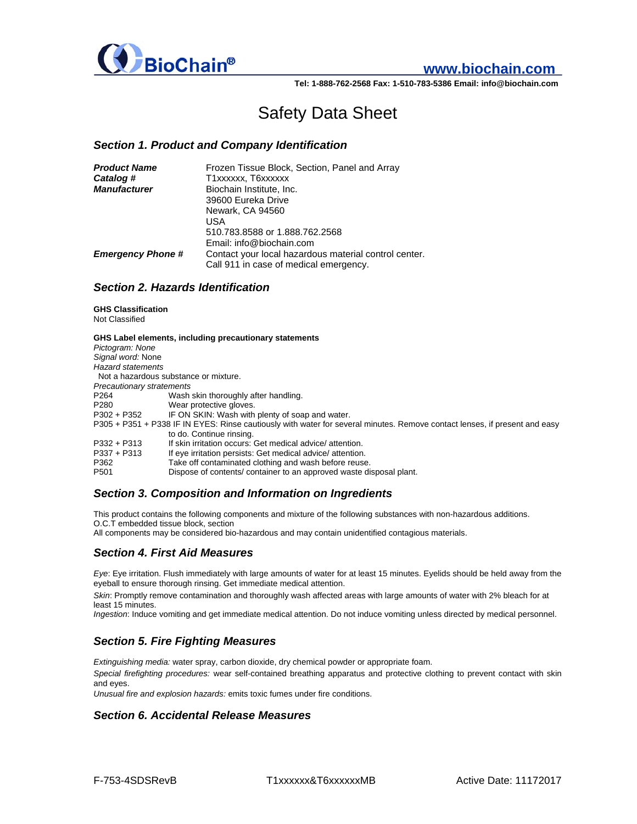

# **www.biochain.com**

**Tel: 1-888-762-2568 Fax: 1-510-783-5386 Email: info@biochain.com**

# Safety Data Sheet

#### *Section 1. Product and Company Identification*

| <b>Product Name</b>      | Frozen Tissue Block, Section, Panel and Array         |
|--------------------------|-------------------------------------------------------|
| Catalog #                | T1xxxxxx, T6xxxxxx                                    |
| <b>Manufacturer</b>      | Biochain Institute, Inc.                              |
|                          | 39600 Eureka Drive                                    |
|                          | Newark, CA 94560                                      |
|                          | USA                                                   |
|                          | 510.783.8588 or 1.888.762.2568                        |
|                          | Email: info@biochain.com                              |
| <b>Emergency Phone #</b> | Contact your local hazardous material control center. |
|                          | Call 911 in case of medical emergency.                |

#### *Section 2. Hazards Identification*

**GHS Classification**  Not Classified

| Pictogram: None                                                                                                            | GHS Label elements, including precautionary statements             |  |
|----------------------------------------------------------------------------------------------------------------------------|--------------------------------------------------------------------|--|
| Signal word: None                                                                                                          |                                                                    |  |
| <b>Hazard statements</b>                                                                                                   |                                                                    |  |
| Not a hazardous substance or mixture.                                                                                      |                                                                    |  |
| <b>Precautionary stratements</b>                                                                                           |                                                                    |  |
| P264                                                                                                                       | Wash skin thoroughly after handling.                               |  |
| P <sub>280</sub>                                                                                                           | Wear protective gloves.                                            |  |
| $P302 + P352$                                                                                                              | IF ON SKIN: Wash with plenty of soap and water.                    |  |
| P305 + P351 + P338 IF IN EYES: Rinse cautiously with water for several minutes. Remove contact lenses, if present and easy |                                                                    |  |
|                                                                                                                            | to do. Continue rinsing.                                           |  |
| $P332 + P313$                                                                                                              | If skin irritation occurs: Get medical advice/attention.           |  |
| $P337 + P313$                                                                                                              | If eye irritation persists: Get medical advice/ attention.         |  |
| P362                                                                                                                       | Take off contaminated clothing and wash before reuse.              |  |
| P <sub>501</sub>                                                                                                           | Dispose of contents/container to an approved waste disposal plant. |  |

#### *Section 3. Composition and Information on Ingredients*

This product contains the following components and mixture of the following substances with non-hazardous additions. O.C.T embedded tissue block, section

All components may be considered bio-hazardous and may contain unidentified contagious materials.

### *Section 4. First Aid Measures*

*Eye*: Eye irritation. Flush immediately with large amounts of water for at least 15 minutes. Eyelids should be held away from the eyeball to ensure thorough rinsing. Get immediate medical attention.

*Skin*: Promptly remove contamination and thoroughly wash affected areas with large amounts of water with 2% bleach for at least 15 minutes.

*Ingestion*: Induce vomiting and get immediate medical attention. Do not induce vomiting unless directed by medical personnel.

# *Section 5. Fire Fighting Measures*

*Extinguishing media:* water spray, carbon dioxide, dry chemical powder or appropriate foam.

*Special firefighting procedures:* wear self-contained breathing apparatus and protective clothing to prevent contact with skin and eyes.

*Unusual fire and explosion hazards:* emits toxic fumes under fire conditions.

#### *Section 6. Accidental Release Measures*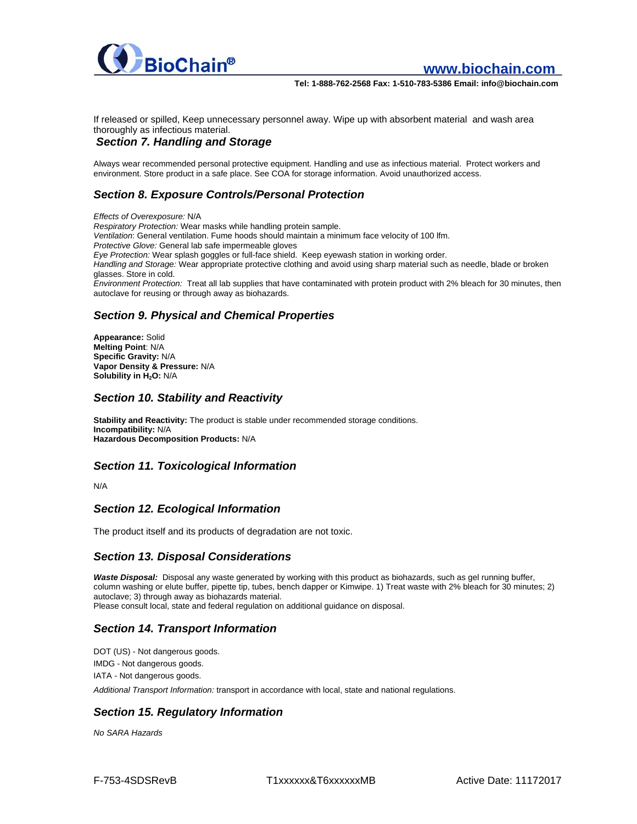

**www.biochain.com** 

**Tel: 1-888-762-2568 Fax: 1-510-783-5386 Email: info@biochain.com**

If released or spilled, Keep unnecessary personnel away. Wipe up with absorbent material and wash area thoroughly as infectious material.

#### *Section 7. Handling and Storage*

Always wear recommended personal protective equipment. Handling and use as infectious material. Protect workers and environment. Store product in a safe place. See COA for storage information. Avoid unauthorized access.

# *Section 8. Exposure Controls/Personal Protection*

*Effects of Overexposure:* N/A *Respiratory Protection:* Wear masks while handling protein sample. *Ventilation*: General ventilation. Fume hoods should maintain a minimum face velocity of 100 lfm. *Protective Glove:* General lab safe impermeable gloves *Eye Protection:* Wear splash goggles or full-face shield. Keep eyewash station in working order. *Handling and Storage:* Wear appropriate protective clothing and avoid using sharp material such as needle, blade or broken glasses. Store in cold. *Environment Protection:* Treat all lab supplies that have contaminated with protein product with 2% bleach for 30 minutes, then autoclave for reusing or through away as biohazards.

## *Section 9. Physical and Chemical Properties*

**Appearance:** Solid **Melting Point**: N/A **Specific Gravity:** N/A **Vapor Density & Pressure:** N/A **Solubility in H2O:** N/A

#### *Section 10. Stability and Reactivity*

**Stability and Reactivity:** The product is stable under recommended storage conditions. **Incompatibility:** N/A **Hazardous Decomposition Products:** N/A

#### *Section 11. Toxicological Information*

N/A

#### *Section 12. Ecological Information*

The product itself and its products of degradation are not toxic.

#### *Section 13. Disposal Considerations*

*Waste Disposal:* Disposal any waste generated by working with this product as biohazards, such as gel running buffer, column washing or elute buffer, pipette tip, tubes, bench dapper or Kimwipe. 1) Treat waste with 2% bleach for 30 minutes; 2) autoclave; 3) through away as biohazards material.

Please consult local, state and federal regulation on additional guidance on disposal.

#### *Section 14. Transport Information*

DOT (US) - Not dangerous goods. IMDG - Not dangerous goods. IATA - Not dangerous goods.

*Additional Transport Information:* transport in accordance with local, state and national regulations.

# *Section 15. Regulatory Information*

*No SARA Hazards*